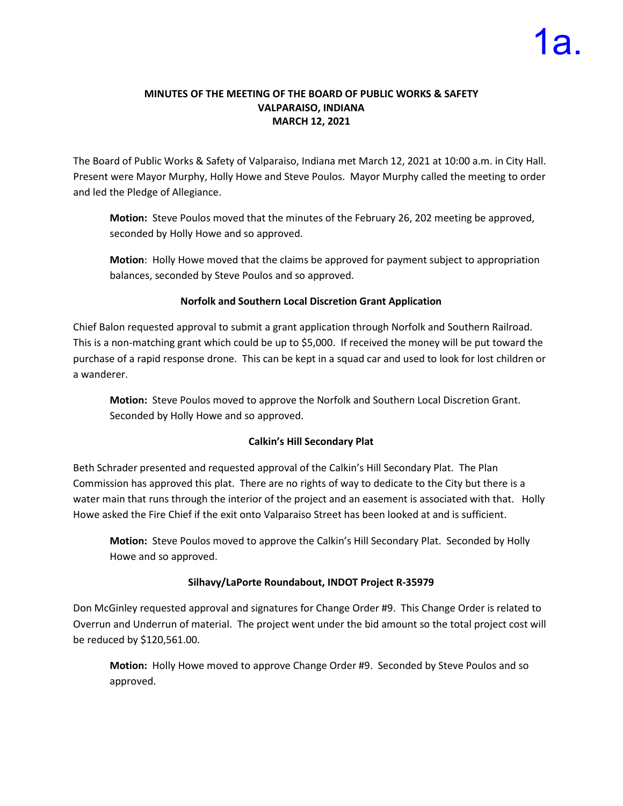### **MINUTES OF THE MEETING OF THE BOARD OF PUBLIC WORKS & SAFETY VALPARAISO, INDIANA MARCH 12, 2021**

The Board of Public Works & Safety of Valparaiso, Indiana met March 12, 2021 at 10:00 a.m. in City Hall. Present were Mayor Murphy, Holly Howe and Steve Poulos. Mayor Murphy called the meeting to order and led the Pledge of Allegiance.

**Motion:** Steve Poulos moved that the minutes of the February 26, 202 meeting be approved, seconded by Holly Howe and so approved.

**Motion**: Holly Howe moved that the claims be approved for payment subject to appropriation balances, seconded by Steve Poulos and so approved.

### **Norfolk and Southern Local Discretion Grant Application**

Chief Balon requested approval to submit a grant application through Norfolk and Southern Railroad. This is a non-matching grant which could be up to \$5,000. If received the money will be put toward the purchase of a rapid response drone. This can be kept in a squad car and used to look for lost children or a wanderer.

**Motion:** Steve Poulos moved to approve the Norfolk and Southern Local Discretion Grant. Seconded by Holly Howe and so approved.

# **Calkin's Hill Secondary Plat**

Beth Schrader presented and requested approval of the Calkin's Hill Secondary Plat. The Plan Commission has approved this plat. There are no rights of way to dedicate to the City but there is a water main that runs through the interior of the project and an easement is associated with that. Holly Howe asked the Fire Chief if the exit onto Valparaiso Street has been looked at and is sufficient.

**Motion:** Steve Poulos moved to approve the Calkin's Hill Secondary Plat. Seconded by Holly Howe and so approved.

# **Silhavy/LaPorte Roundabout, INDOT Project R-35979**

Don McGinley requested approval and signatures for Change Order #9. This Change Order is related to Overrun and Underrun of material. The project went under the bid amount so the total project cost will be reduced by \$120,561.00.

**Motion:** Holly Howe moved to approve Change Order #9. Seconded by Steve Poulos and so approved.